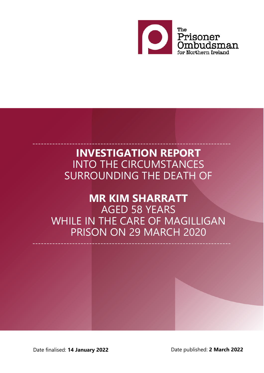

# **INVESTIGATION REPORT** INTO THE CIRCUMSTANCES SURROUNDING THE DEATH OF

----------------------------------------------------------------------

# **MR KIM SHARRATT** AGED 58 YEARS WHILE IN THE CARE OF MAGILLIGAN PRISON ON 29 MARCH 2020

----------------------------------------------------------------------

Date finalised: **14 January 2022** Date published: **2 March 2022**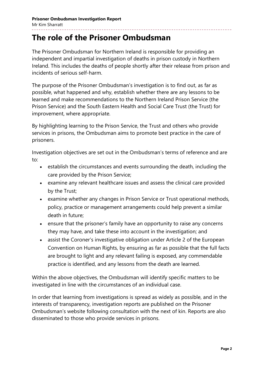### **The role of the Prisoner Ombudsman**

The Prisoner Ombudsman for Northern Ireland is responsible for providing an independent and impartial investigation of deaths in prison custody in Northern Ireland. This includes the deaths of people shortly after their release from prison and incidents of serious self-harm.

The purpose of the Prisoner Ombudsman's investigation is to find out, as far as possible, what happened and why, establish whether there are any lessons to be learned and make recommendations to the Northern Ireland Prison Service (the Prison Service) and the South Eastern Health and Social Care Trust (the Trust) for improvement, where appropriate.

By highlighting learning to the Prison Service, the Trust and others who provide services in prisons, the Ombudsman aims to promote best practice in the care of prisoners.

Investigation objectives are set out in the Ombudsman's terms of reference and are to:

- establish the circumstances and events surrounding the death, including the care provided by the Prison Service;
- examine any relevant healthcare issues and assess the clinical care provided by the Trust;
- examine whether any changes in Prison Service or Trust operational methods, policy, practice or management arrangements could help prevent a similar death in future;
- ensure that the prisoner's family have an opportunity to raise any concerns they may have, and take these into account in the investigation; and
- assist the Coroner's investigative obligation under Article 2 of the European Convention on Human Rights, by ensuring as far as possible that the full facts are brought to light and any relevant failing is exposed, any commendable practice is identified, and any lessons from the death are learned.

Within the above objectives, the Ombudsman will identify specific matters to be investigated in line with the circumstances of an individual case.

In order that learning from investigations is spread as widely as possible, and in the interests of transparency, investigation reports are published on the Prisoner Ombudsman's website following consultation with the next of kin. Reports are also disseminated to those who provide services in prisons.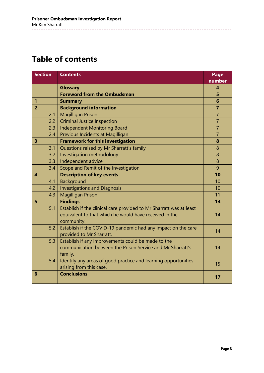## **Table of contents**

| <b>Section</b>          | <b>Contents</b>                                                                                                                             | Page                    |
|-------------------------|---------------------------------------------------------------------------------------------------------------------------------------------|-------------------------|
|                         |                                                                                                                                             | number                  |
|                         | <b>Glossary</b>                                                                                                                             | $\overline{\mathbf{4}}$ |
|                         | <b>Foreword from the Ombudsman</b>                                                                                                          | 5                       |
| 1                       | <b>Summary</b>                                                                                                                              | 6                       |
| $\overline{2}$          | <b>Background information</b>                                                                                                               | $\overline{7}$          |
| 2.1                     | <b>Magilligan Prison</b>                                                                                                                    | $\overline{7}$          |
| 2.2                     | <b>Criminal Justice Inspection</b>                                                                                                          | $\overline{7}$          |
| 2.3                     | <b>Independent Monitoring Board</b>                                                                                                         | $\overline{7}$          |
| 2.4                     | Previous Incidents at Magilligan                                                                                                            | $\overline{7}$          |
| $\overline{\mathbf{3}}$ | <b>Framework for this investigation</b>                                                                                                     | 8                       |
| 3.1                     | Questions raised by Mr Sharratt's family                                                                                                    | 8                       |
| 3.2                     | Investigation methodology                                                                                                                   | 8                       |
| 3.3                     | Independent advice                                                                                                                          | 8                       |
| 3.4                     | Scope and Remit of the Investigation                                                                                                        | 9                       |
| $\overline{\mathbf{4}}$ | <b>Description of key events</b>                                                                                                            | 10                      |
| 4.1                     | Background                                                                                                                                  | 10                      |
| 4.2                     | <b>Investigations and Diagnosis</b>                                                                                                         | 10                      |
| 4.3                     | <b>Magilligan Prison</b>                                                                                                                    | 11                      |
| 5                       | <b>Findings</b>                                                                                                                             | 14                      |
| 5.1                     | Establish if the clinical care provided to Mr Sharratt was at least<br>equivalent to that which he would have received in the<br>community. | 14                      |
| 5.2                     | Establish if the COVID-19 pandemic had any impact on the care<br>provided to Mr Sharratt.                                                   | 14                      |
| 5.3                     | Establish if any improvements could be made to the<br>communication between the Prison Service and Mr Sharratt's<br>family.                 | 14                      |
| 5.4                     | Identify any areas of good practice and learning opportunities<br>arising from this case.                                                   | 15                      |
| 6                       | <b>Conclusions</b>                                                                                                                          | 17                      |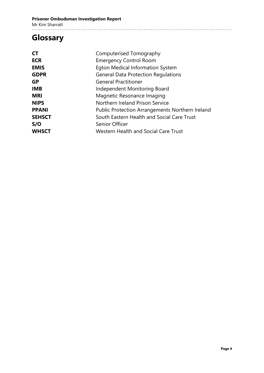## **Glossary**

| Computerised Tomography                         |  |
|-------------------------------------------------|--|
| <b>Emergency Control Room</b>                   |  |
| Egton Medical Information System                |  |
| <b>General Data Protection Regulations</b>      |  |
| <b>General Practitioner</b>                     |  |
| Independent Monitoring Board                    |  |
| Magnetic Resonance Imaging                      |  |
| Northern Ireland Prison Service                 |  |
| Public Protection Arrangements Northern Ireland |  |
| South Eastern Health and Social Care Trust      |  |
| Senior Officer                                  |  |
| Western Health and Social Care Trust            |  |
|                                                 |  |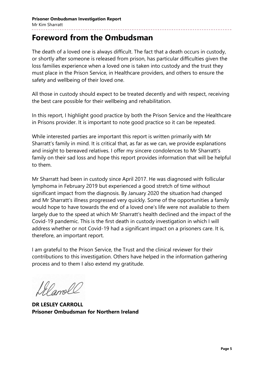### **Foreword from the Ombudsman**

The death of a loved one is always difficult. The fact that a death occurs in custody, or shortly after someone is released from prison, has particular difficulties given the loss families experience when a loved one is taken into custody and the trust they must place in the Prison Service, in Healthcare providers, and others to ensure the safety and wellbeing of their loved one.

All those in custody should expect to be treated decently and with respect, receiving the best care possible for their wellbeing and rehabilitation.

In this report, I highlight good practice by both the Prison Service and the Healthcare in Prisons provider. It is important to note good practice so it can be repeated.

While interested parties are important this report is written primarily with Mr Sharratt's family in mind. It is critical that, as far as we can, we provide explanations and insight to bereaved relatives. I offer my sincere condolences to Mr Sharratt's family on their sad loss and hope this report provides information that will be helpful to them.

Mr Sharratt had been in custody since April 2017. He was diagnosed with follicular lymphoma in February 2019 but experienced a good stretch of time without significant impact from the diagnosis. By January 2020 the situation had changed and Mr Sharratt's illness progressed very quickly. Some of the opportunities a family would hope to have towards the end of a loved one's life were not available to them largely due to the speed at which Mr Sharratt's health declined and the impact of the Covid-19 pandemic. This is the first death in custody investigation in which I will address whether or not Covid-19 had a significant impact on a prisoners care. It is, therefore, an important report.

I am grateful to the Prison Service, the Trust and the clinical reviewer for their contributions to this investigation. Others have helped in the information gathering process and to them I also extend my gratitude.

Al amolt

**DR LESLEY CARROLL Prisoner Ombudsman for Northern Ireland**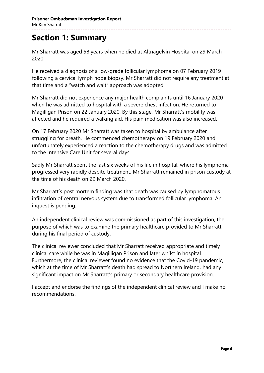### **Section 1: Summary**

Mr Sharratt was aged 58 years when he died at Altnagelvin Hospital on 29 March 2020.

He received a diagnosis of a low-grade follicular lymphoma on 07 February 2019 following a cervical lymph node biopsy. Mr Sharratt did not require any treatment at that time and a "watch and wait" approach was adopted.

Mr Sharratt did not experience any major health complaints until 16 January 2020 when he was admitted to hospital with a severe chest infection. He returned to Magilligan Prison on 22 January 2020. By this stage, Mr Sharratt's mobility was affected and he required a walking aid. His pain medication was also increased.

On 17 February 2020 Mr Sharratt was taken to hospital by ambulance after struggling for breath. He commenced chemotherapy on 19 February 2020 and unfortunately experienced a reaction to the chemotherapy drugs and was admitted to the Intensive Care Unit for several days.

Sadly Mr Sharratt spent the last six weeks of his life in hospital, where his lymphoma progressed very rapidly despite treatment. Mr Sharratt remained in prison custody at the time of his death on 29 March 2020.

Mr Sharratt's post mortem finding was that death was caused by lymphomatous infiltration of central nervous system due to transformed follicular lymphoma. An inquest is pending.

An independent clinical review was commissioned as part of this investigation, the purpose of which was to examine the primary healthcare provided to Mr Sharratt during his final period of custody.

The clinical reviewer concluded that Mr Sharratt received appropriate and timely clinical care while he was in Magilligan Prison and later whilst in hospital. Furthermore, the clinical reviewer found no evidence that the Covid-19 pandemic, which at the time of Mr Sharratt's death had spread to Northern Ireland, had any significant impact on Mr Sharratt's primary or secondary healthcare provision.

I accept and endorse the findings of the independent clinical review and I make no recommendations.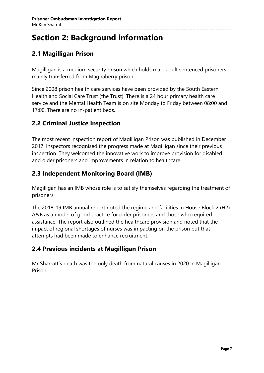## **Section 2: Background information**

### **2.1 Magilligan Prison**

Magilligan is a medium security prison which holds male adult sentenced prisoners mainly transferred from Maghaberry prison.

Since 2008 prison health care services have been provided by the South Eastern Health and Social Care Trust (the Trust). There is a 24 hour primary health care service and the Mental Health Team is on site Monday to Friday between 08:00 and 17:00. There are no in-patient beds.

#### **2.2 Criminal Justice Inspection**

The most recent inspection report of Magilligan Prison was published in December 2017. Inspectors recognised the progress made at Magilligan since their previous inspection. They welcomed the innovative work to improve provision for disabled and older prisoners and improvements in relation to healthcare.

### **2.3 Independent Monitoring Board (IMB)**

Magilligan has an IMB whose role is to satisfy themselves regarding the treatment of prisoners.

The 2018-19 IMB annual report noted the regime and facilities in House Block 2 (H2) A&B as a model of good practice for older prisoners and those who required assistance. The report also outlined the healthcare provision and noted that the impact of regional shortages of nurses was impacting on the prison but that attempts had been made to enhance recruitment.

### **2.4 Previous incidents at Magilligan Prison**

Mr Sharratt's death was the only death from natural causes in 2020 in Magilligan Prison.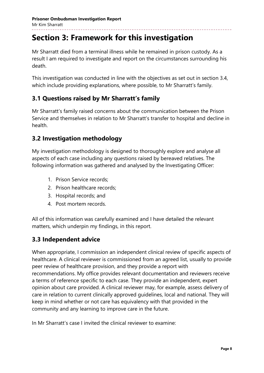## **Section 3: Framework for this investigation**

Mr Sharratt died from a terminal illness while he remained in prison custody. As a result I am required to investigate and report on the circumstances surrounding his death.

This investigation was conducted in line with the objectives as set out in section 3.4, which include providing explanations, where possible, to Mr Sharratt's family.

#### **3.1 Questions raised by Mr Sharratt's family**

Mr Sharratt's family raised concerns about the communication between the Prison Service and themselves in relation to Mr Sharratt's transfer to hospital and decline in health.

#### **3.2 Investigation methodology**

My investigation methodology is designed to thoroughly explore and analyse all aspects of each case including any questions raised by bereaved relatives. The following information was gathered and analysed by the Investigating Officer:

- 1. Prison Service records;
- 2. Prison healthcare records;
- 3. Hospital records; and
- 4. Post mortem records.

All of this information was carefully examined and I have detailed the relevant matters, which underpin my findings, in this report.

#### **3.3 Independent advice**

When appropriate, I commission an independent clinical review of specific aspects of healthcare. A clinical reviewer is commissioned from an agreed list, usually to provide peer review of healthcare provision, and they provide a report with recommendations. My office provides relevant documentation and reviewers receive a terms of reference specific to each case. They provide an independent, expert opinion about care provided. A clinical reviewer may, for example, assess delivery of care in relation to current clinically approved guidelines, local and national. They will keep in mind whether or not care has equivalency with that provided in the community and any learning to improve care in the future.

In Mr Sharratt's case I invited the clinical reviewer to examine: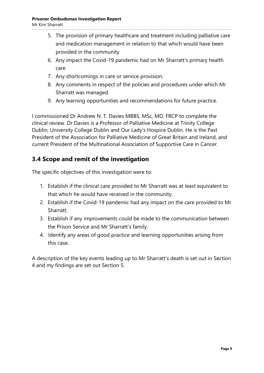#### **Prisoner Ombudsman Investigation Report**

Mr Kim Sharratt

- 5. The provision of primary healthcare and treatment including palliative care and medication management in relation to that which would have been provided in the community
- 6. Any impact the Covid-19 pandemic had on Mr Sharratt's primary health care
- 7. Any shortcomings in care or service provision.
- 8. Any comments in respect of the policies and procedures under which Mr Sharratt was managed.
- 9. Any learning opportunities and recommendations for future practice.

I commissioned Dr Andrew N. T. Davies MBBS, MSc, MD, FRCP to complete the clinical review. Dr Davies is a Professor of Palliative Medicine at Trinity College Dublin, University College Dublin and Our Lady's Hospice Dublin. He is the Past President of the Association for Palliative Medicine of Great Britain and Ireland, and current President of the Multinational Association of Supportive Care in Cancer.

### **3.4 Scope and remit of the investigation**

The specific objectives of this investigation were to:

- 1. Establish if the clinical care provided to Mr Sharratt was at least equivalent to that which he would have received in the community.
- 2. Establish if the Covid-19 pandemic had any impact on the care provided to Mr Sharratt.
- 3. Establish if any improvements could be made to the communication between the Prison Service and Mr Sharratt's family.
- 4. Identify any areas of good practice and learning opportunities arising from this case.

A description of the key events leading up to Mr Sharratt's death is set out in Section 4 and my findings are set out Section 5.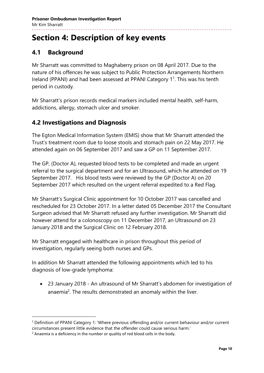## **Section 4: Description of key events**

### **4.1 Background**

Mr Sharratt was committed to Maghaberry prison on 08 April 2017. Due to the nature of his offences he was subject to Public Protection Arrangements Northern Ireland (PPANI) and had been assessed at PPANI Category  $1^1$ . This was his tenth period in custody.

Mr Sharratt's prison records medical markers included mental health, self-harm, addictions, allergy, stomach ulcer and smoker.

### **4.2 Investigations and Diagnosis**

The Egton Medical Information System (EMIS) show that Mr Sharratt attended the Trust's treatment room due to loose stools and stomach pain on 22 May 2017. He attended again on 06 September 2017 and saw a GP on 11 September 2017.

The GP, (Doctor A), requested blood tests to be completed and made an urgent referral to the surgical department and for an Ultrasound, which he attended on 19 September 2017. His blood tests were reviewed by the GP (Doctor A) on 20 September 2017 which resulted on the urgent referral expedited to a Red Flag.

Mr Sharratt's Surgical Clinic appointment for 10 October 2017 was cancelled and rescheduled for 23 October 2017. In a letter dated 05 December 2017 the Consultant Surgeon advised that Mr Sharratt refused any further investigation. Mr Sharratt did however attend for a colonoscopy on 11 December 2017, an Ultrasound on 23 January 2018 and the Surgical Clinic on 12 February 2018.

Mr Sharratt engaged with healthcare in prison throughout this period of investigation, regularly seeing both nurses and GPs.

In addition Mr Sharratt attended the following appointments which led to his diagnosis of low-grade lymphoma:

 23 January 2018 - An ultrasound of Mr Sharratt's abdomen for investigation of anaemia<sup>2</sup>. The results demonstrated an anomaly within the liver.

l

<sup>&</sup>lt;sup>1</sup> Definition of PPANI Category 1: 'Where previous offending and/or current behaviour and/or current circumstances present little evidence that the offender could cause serious harm.'

<sup>&</sup>lt;sup>2</sup> Anaemia is a deficiency in the number or quality of red blood cells in the body.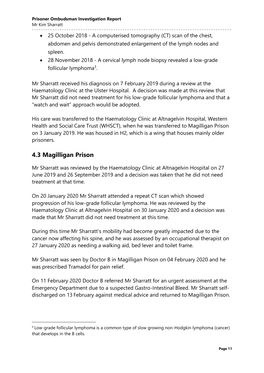#### **Prisoner Ombudsman Investigation Report**

Mr Kim Sharratt

- 25 October 2018 A computerised tomography (CT) scan of the chest, abdomen and pelvis demonstrated enlargement of the lymph nodes and spleen.
- 28 November 2018 A cervical lymph node biopsy revealed a low-grade follicular lymphoma<sup>3</sup>.

Mr Sharratt received his diagnosis on 7 February 2019 during a review at the Haematology Clinic at the Ulster Hospital. A decision was made at this review that Mr Sharratt did not need treatment for his low-grade follicular lymphoma and that a "watch and wait" approach would be adopted.

His care was transferred to the Haematology Clinic at Altnagelvin Hospital, Western Health and Social Care Trust (WHSCT), when he was transferred to Magilligan Prison on 3 January 2019. He was housed in H2, which is a wing that houses mainly older prisoners.

#### **4.3 Magilligan Prison**

 $\overline{a}$ 

Mr Sharratt was reviewed by the Haematology Clinic at Altnagelvin Hospital on 27 June 2019 and 26 September 2019 and a decision was taken that he did not need treatment at that time.

On 20 January 2020 Mr Sharratt attended a repeat CT scan which showed progression of his low-grade follicular lymphoma. He was reviewed by the Haematology Clinic at Altnagelvin Hospital on 30 January 2020 and a decision was made that Mr Sharratt did not need treatment at this time.

During this time Mr Sharratt's mobility had become greatly impacted due to the cancer now affecting his spine, and he was assessed by an occupational therapist on 27 January 2020 as needing a walking aid, bed lever and toilet frame.

Mr Sharratt was seen by Doctor B in Magilligan Prison on 04 February 2020 and he was prescribed Tramadol for pain relief.

On 11 February 2020 Doctor B referred Mr Sharratt for an urgent assessment at the Emergency Department due to a suspected Gastro-Intestinal Bleed. Mr Sharratt selfdischarged on 13 February against medical advice and returned to Magilligan Prison.

<sup>&</sup>lt;sup>3</sup> Low-grade follicular lymphoma is a common type of slow growing non-Hodgkin lymphoma (cancer) that develops in the B cells.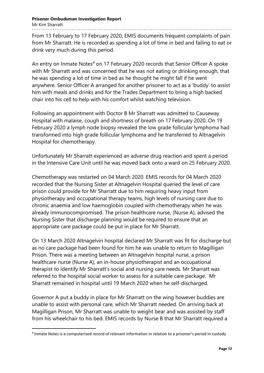From 13 February to 17 February 2020, EMIS documents frequent complaints of pain from Mr Sharratt. He is recorded as spending a lot of time in bed and failing to eat or drink very much during this period.

An entry on Inmate Notes<sup>4</sup> on 17 February 2020 records that Senior Officer A spoke with Mr Sharratt and was concerned that he was not eating or drinking enough, that he was spending a lot of time in bed as he thought he might fall if he went anywhere. Senior Officer A arranged for another prisoner to act as a 'buddy' to assist him with meals and drinks and for the Trades Department to bring a high backed chair into his cell to help with his comfort whilst watching television.

Following an appointment with Doctor B Mr Sharratt was admitted to Causeway Hospital with malaise, cough and shortness of breath on 17 February 2020. On 19 February 2020 a lymph node biopsy revealed the low grade follicular lymphoma had transformed into high grade follicular lymphoma and he transferred to Altnagelvin Hospital for chemotherapy.

Unfortunately Mr Sharratt experienced an adverse drug reaction and spent a period in the Intensive Care Unit until he was moved back onto a ward on 25 February 2020.

Chemotherapy was restarted on 04 March 2020. EMIS records for 04 March 2020 recorded that the Nursing Sister at Altnagelvin Hospital queried the level of care prison could provide for Mr Sharratt due to him requiring heavy input from physiotherapy and occupational therapy teams, high levels of nursing care due to chronic anaemia and low haemoglobin coupled with chemotherapy when he was already immunocompromised. The prison healthcare nurse, (Nurse A), advised the Nursing Sister that discharge planning would be required to ensure that an appropriate care package could be put in place for Mr Sharratt.

On 13 March 2020 Altnagelvin hospital declared Mr Sharratt was fit for discharge but as no care package had been found for him he was unable to return to Magilligan Prison. There was a meeting between an Altnagelvin hospital nurse, a prison healthcare nurse (Nurse A), an in-house physiotherapist and an occupational therapist to identify Mr Sharratt's social and nursing care needs. Mr Sharratt was referred to the hospital social worker to assess for a suitable care package. Mr Sharratt remained in hospital until 19 March 2020 when he self-discharged.

Governor A put a buddy in place for Mr Sharratt on the wing however buddies are unable to assist with personal care, which Mr Sharratt needed. On arriving back at Magilligan Prison, Mr Sharratt was unable to weight bear and was assisted by staff from his wheelchair to his bed. EMIS records by Nurse B that Mr Sharratt required a

 $\overline{a}$ 

<sup>4</sup> Inmate Notes is a computerised record of relevant information in relation to a prisoner's period in custody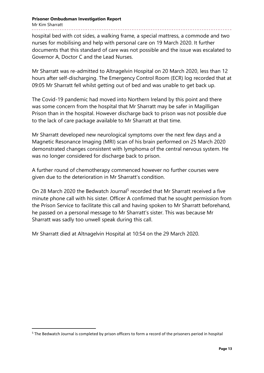#### **Prisoner Ombudsman Investigation Report** Mr Kim Sharratt

hospital bed with cot sides, a walking frame, a special mattress, a commode and two nurses for mobilising and help with personal care on 19 March 2020. It further documents that this standard of care was not possible and the issue was escalated to Governor A, Doctor C and the Lead Nurses.

Mr Sharratt was re-admitted to Altnagelvin Hospital on 20 March 2020, less than 12 hours after self-discharging. The Emergency Control Room (ECR) log recorded that at 09:05 Mr Sharratt fell whilst getting out of bed and was unable to get back up.

The Covid-19 pandemic had moved into Northern Ireland by this point and there was some concern from the hospital that Mr Sharratt may be safer in Magilligan Prison than in the hospital. However discharge back to prison was not possible due to the lack of care package available to Mr Sharratt at that time.

Mr Sharratt developed new neurological symptoms over the next few days and a Magnetic Resonance Imaging (MRI) scan of his brain performed on 25 March 2020 demonstrated changes consistent with lymphoma of the central nervous system. He was no longer considered for discharge back to prison.

A further round of chemotherapy commenced however no further courses were given due to the deterioration in Mr Sharratt's condition.

On 28 March 2020 the Bedwatch Journal<sup>5</sup> recorded that Mr Sharratt received a five minute phone call with his sister. Officer A confirmed that he sought permission from the Prison Service to facilitate this call and having spoken to Mr Sharratt beforehand, he passed on a personal message to Mr Sharratt's sister. This was because Mr Sharratt was sadly too unwell speak during this call.

Mr Sharratt died at Altnagelvin Hospital at 10:54 on the 29 March 2020.

 $\overline{a}$ 

<sup>5</sup> The Bedwatch Journal is completed by prison officers to form a record of the prisoners period in hospital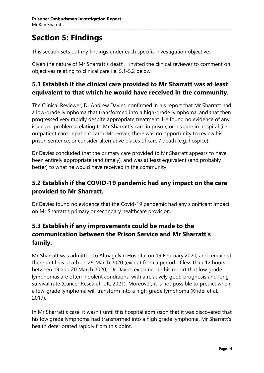## **Section 5: Findings**

This section sets out my findings under each specific investigation objective.

Given the nature of Mr Sharratt's death, I invited the clinical reviewer to comment on objectives relating to clinical care i.e. 5.1-5.2 below.

#### **5.1 Establish if the clinical care provided to Mr Sharratt was at least equivalent to that which he would have received in the community.**

The Clinical Reviewer, Dr Andrew Davies, confirmed in his report that Mr Sharratt had a low-grade lymphoma that transformed into a high-grade lymphoma, and that then progressed very rapidly despite appropriate treatment. He found no evidence of any issues or problems relating to Mr Sharratt's care in prison, or his care in hospital (i.e. outpatient care, inpatient care). Moreover, there was no opportunity to review his prison sentence, or consider alternative places of care / death (e.g. hospice).

Dr Davies concluded that the primary care provided to Mr Sharratt appears to have been entirely appropriate (and timely), and was at least equivalent (and probably better) to what he would have received in the community.

### **5.2 Establish if the COVID-19 pandemic had any impact on the care provided to Mr Sharratt.**

Dr Davies found no evidence that the Covid-19 pandemic had any significant impact on Mr Sharratt's primary or secondary healthcare provision.

### **5.3 Establish if any improvements could be made to the communication between the Prison Service and Mr Sharratt's family.**

Mr Sharratt was admitted to Altnagelvin Hospital on 19 February 2020, and remained there until his death on 29 March 2020 (except from a period of less than 12 hours between 19 and 20 March 2020). Dr Davies explained in his report that low grade lymphomas are often indolent conditions, with a relatively good prognosis and long survival rate (Cancer Research UK, 2021). Moreover, it is not possible to predict when a low-grade lymphoma will transform into a high-grade lymphoma (Kridel et al, 2017).

In Mr Sharratt's case, it wasn't until this hospital admission that it was discovered that his low grade lymphoma had transformed into a high grade lymphoma. Mr Sharratt's health deteriorated rapidly from this point.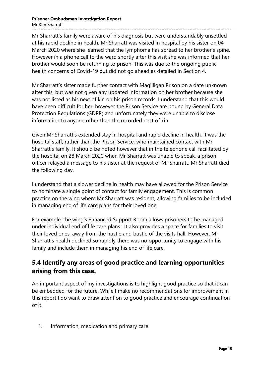**Prisoner Ombudsman Investigation Report** Mr Kim Sharratt

Mr Sharratt's family were aware of his diagnosis but were understandably unsettled at his rapid decline in health. Mr Sharratt was visited in hospital by his sister on 04 March 2020 where she learned that the lymphoma has spread to her brother's spine. However in a phone call to the ward shortly after this visit she was informed that her brother would soon be returning to prison. This was due to the ongoing public health concerns of Covid-19 but did not go ahead as detailed in Section 4.

Mr Sharratt's sister made further contact with Magilligan Prison on a date unknown after this, but was not given any updated information on her brother because she was not listed as his next of kin on his prison records. I understand that this would have been difficult for her, however the Prison Service are bound by General Data Protection Regulations (GDPR) and unfortunately they were unable to disclose information to anyone other than the recorded next of kin.

Given Mr Sharratt's extended stay in hospital and rapid decline in health, it was the hospital staff, rather than the Prison Service, who maintained contact with Mr Sharratt's family. It should be noted however that in the telephone call facilitated by the hospital on 28 March 2020 when Mr Sharratt was unable to speak, a prison officer relayed a message to his sister at the request of Mr Sharratt. Mr Sharratt died the following day.

I understand that a slower decline in health may have allowed for the Prison Service to nominate a single point of contact for family engagement. This is common practice on the wing where Mr Sharratt was resident, allowing families to be included in managing end of life care plans for their loved one.

For example, the wing's Enhanced Support Room allows prisoners to be managed under individual end of life care plans. It also provides a space for families to visit their loved ones, away from the hustle and bustle of the visits hall. However, Mr Sharratt's health declined so rapidly there was no opportunity to engage with his family and include them in managing his end of life care.

### **5.4 Identify any areas of good practice and learning opportunities arising from this case.**

An important aspect of my investigations is to highlight good practice so that it can be embedded for the future. While I make no recommendations for improvement in this report I do want to draw attention to good practice and encourage continuation of it.

1. Information, medication and primary care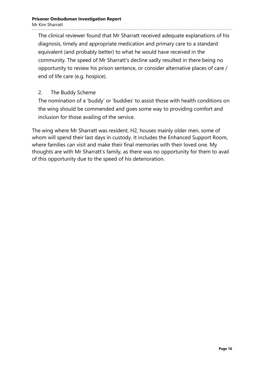#### **Prisoner Ombudsman Investigation Report** Mr Kim Sharratt

The clinical reviewer found that Mr Sharratt received adequate explanations of his diagnosis, timely and appropriate medication and primary care to a standard equivalent (and probably better) to what he would have received in the community. The speed of Mr Sharratt's decline sadly resulted in there being no opportunity to review his prison sentence, or consider alternative places of care / end of life care (e.g. hospice).

#### 2. The Buddy Scheme

The nomination of a 'buddy' or 'buddies' to assist those with health conditions on the wing should be commended and goes some way to providing comfort and inclusion for those availing of the service.

The wing where Mr Sharratt was resident, H2, houses mainly older men, some of whom will spend their last days in custody. It includes the Enhanced Support Room, where families can visit and make their final memories with their loved one. My thoughts are with Mr Sharratt's family, as there was no opportunity for them to avail of this opportunity due to the speed of his deterioration.